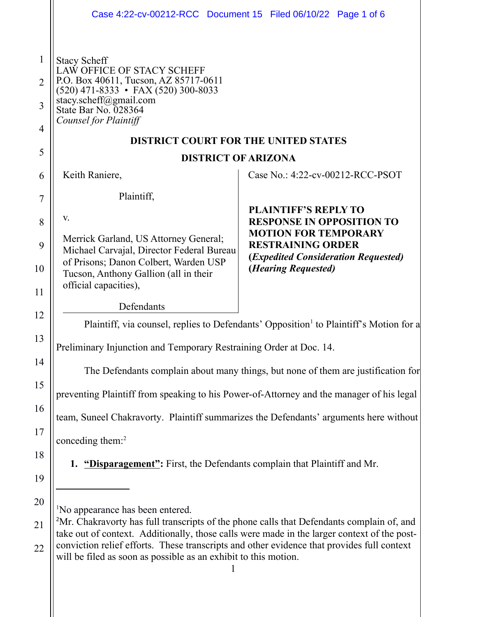<span id="page-0-1"></span><span id="page-0-0"></span>

|                                     | Case 4:22-cv-00212-RCC Document 15 Filed 06/10/22 Page 1 of 6                                                                                                                                                                                                                                                                                                                                                         |                                                                                                         |  |
|-------------------------------------|-----------------------------------------------------------------------------------------------------------------------------------------------------------------------------------------------------------------------------------------------------------------------------------------------------------------------------------------------------------------------------------------------------------------------|---------------------------------------------------------------------------------------------------------|--|
| $\mathbf{1}$<br>$\overline{2}$<br>3 | <b>Stacy Scheff</b><br>LAW OFFICE OF STACY SCHEFF<br>P.O. Box 40611, Tucson, AZ 85717-0611<br>$(520)$ 471-8333 • FAX (520) 300-8033<br>stacy.scheff@gmail.com<br>State Bar No. 028364                                                                                                                                                                                                                                 |                                                                                                         |  |
| $\overline{4}$                      | Counsel for Plaintiff<br><b>DISTRICT COURT FOR THE UNITED STATES</b>                                                                                                                                                                                                                                                                                                                                                  |                                                                                                         |  |
| 5                                   | <b>DISTRICT OF ARIZONA</b>                                                                                                                                                                                                                                                                                                                                                                                            |                                                                                                         |  |
| 6                                   | Keith Raniere,                                                                                                                                                                                                                                                                                                                                                                                                        | Case No.: 4:22-cv-00212-RCC-PSOT                                                                        |  |
| 7                                   | Plaintiff,                                                                                                                                                                                                                                                                                                                                                                                                            |                                                                                                         |  |
| 8                                   | V.                                                                                                                                                                                                                                                                                                                                                                                                                    | <b>PLAINTIFF'S REPLY TO</b><br><b>RESPONSE IN OPPOSITION TO</b>                                         |  |
| 9                                   | Merrick Garland, US Attorney General;<br>Michael Carvajal, Director Federal Bureau                                                                                                                                                                                                                                                                                                                                    | <b>MOTION FOR TEMPORARY</b><br><b>RESTRAINING ORDER</b><br>( <i>Expedited Consideration Requested</i> ) |  |
| 10                                  | of Prisons; Danon Colbert, Warden USP<br>Tucson, Anthony Gallion (all in their<br>official capacities),                                                                                                                                                                                                                                                                                                               | ( <i>Hearing Requested</i> )                                                                            |  |
| 11                                  | Defendants                                                                                                                                                                                                                                                                                                                                                                                                            |                                                                                                         |  |
| 12                                  | Plaintiff, via counsel, replies to Defendants' Opposition <sup>1</sup> to Plaintiff's Motion for a                                                                                                                                                                                                                                                                                                                    |                                                                                                         |  |
| 13                                  | Preliminary Injunction and Temporary Restraining Order at Doc. 14.                                                                                                                                                                                                                                                                                                                                                    |                                                                                                         |  |
| 14                                  | The Defendants complain about many things, but none of them are justification for                                                                                                                                                                                                                                                                                                                                     |                                                                                                         |  |
| 15                                  | preventing Plaintiff from speaking to his Power-of-Attorney and the manager of his legal                                                                                                                                                                                                                                                                                                                              |                                                                                                         |  |
| 16                                  | team, Suneel Chakravorty. Plaintiff summarizes the Defendants' arguments here without                                                                                                                                                                                                                                                                                                                                 |                                                                                                         |  |
| 17                                  | conceding them: $2$                                                                                                                                                                                                                                                                                                                                                                                                   |                                                                                                         |  |
| 18<br>19                            | <b>1.</b> "Disparagement": First, the Defendants complain that Plaintiff and Mr.                                                                                                                                                                                                                                                                                                                                      |                                                                                                         |  |
| 20<br>21<br>22                      | <sup>1</sup> No appearance has been entered.<br><sup>2</sup> Mr. Chakravorty has full transcripts of the phone calls that Defendants complain of, and<br>take out of context. Additionally, those calls were made in the larger context of the post-<br>conviction relief efforts. These transcripts and other evidence that provides full context<br>will be filed as soon as possible as an exhibit to this motion. |                                                                                                         |  |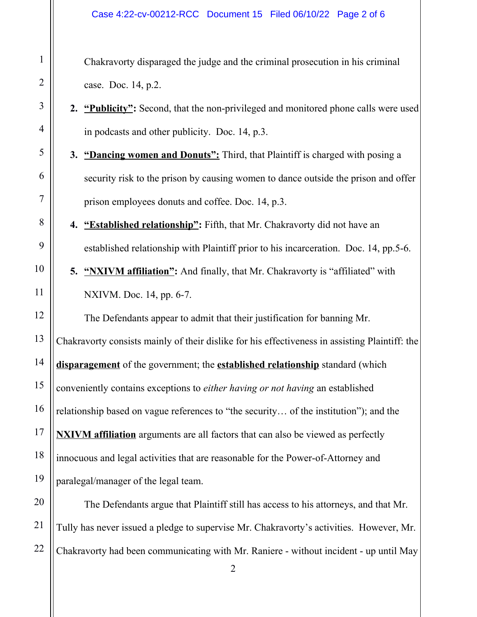## Case 4:22-cv-00212-RCC Document 15 Filed 06/10/22 Page 2 of 6

Chakravorty disparaged the judge and the criminal prosecution in his criminal case. Doc. 14, p.2.

- **2. "Publicity":** Second, that the non-privileged and monitored phone calls were used in podcasts and other publicity. Doc. 14, p.3.
- **3. "Dancing women and Donuts":** Third, that Plaintiff is charged with posing a security risk to the prison by causing women to dance outside the prison and offer prison employees donuts and coffee. Doc. 14, p.3.

**4. "Established relationship":** Fifth, that Mr. Chakravorty did not have an established relationship with Plaintiff prior to his incarceration. Doc. 14, pp.5-6.

**5.** "NXIVM affiliation": And finally, that Mr. Chakravorty is "affiliated" with NXIVM. Doc. 14, pp. 6-7.

The Defendants appear to admit that their justification for banning Mr. Chakravorty consists mainly of their dislike for his effectiveness in assisting Plaintiff: the **disparagement** of the government; the **established relationship** standard (which conveniently contains exceptions to *either having or not having* an established relationship based on vague references to "the security… of the institution"); and the **NXIVM affiliation** arguments are all factors that can also be viewed as perfectly innocuous and legal activities that are reasonable for the Power-of-Attorney and paralegal/manager of the legal team.

The Defendants argue that Plaintiff still has access to his attorneys, and that Mr. Tully has never issued a pledge to supervise Mr. Chakravorty's activities. However, Mr. Chakravorty had been communicating with Mr. Raniere - without incident - up until May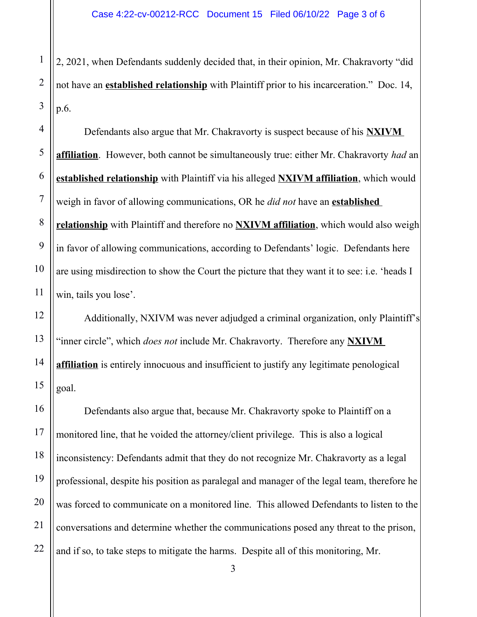2, 2021, when Defendants suddenly decided that, in their opinion, Mr. Chakravorty "did not have an **established relationship** with Plaintiff prior to his incarceration." Doc. 14, p.6.

Defendants also argue that Mr. Chakravorty is suspect because of his **NXIVM affiliation**. However, both cannot be simultaneously true: either Mr. Chakravorty *had* an **established relationship** with Plaintiff via his alleged **NXIVM affiliation**, which would weigh in favor of allowing communications, OR he *did not* have an **established relationship** with Plaintiff and therefore no **NXIVM affiliation**, which would also weigh in favor of allowing communications, according to Defendants' logic. Defendants here are using misdirection to show the Court the picture that they want it to see: i.e. 'heads I win, tails you lose'.

Additionally, NXIVM was never adjudged a criminal organization, only Plaintiff's "inner circle", which *does not* include Mr. Chakravorty. Therefore any **NXIVM affiliation** is entirely innocuous and insufficient to justify any legitimate penological goal.

Defendants also argue that, because Mr. Chakravorty spoke to Plaintiff on a monitored line, that he voided the attorney/client privilege. This is also a logical inconsistency: Defendants admit that they do not recognize Mr. Chakravorty as a legal professional, despite his position as paralegal and manager of the legal team, therefore he was forced to communicate on a monitored line. This allowed Defendants to listen to the conversations and determine whether the communications posed any threat to the prison, and if so, to take steps to mitigate the harms. Despite all of this monitoring, Mr.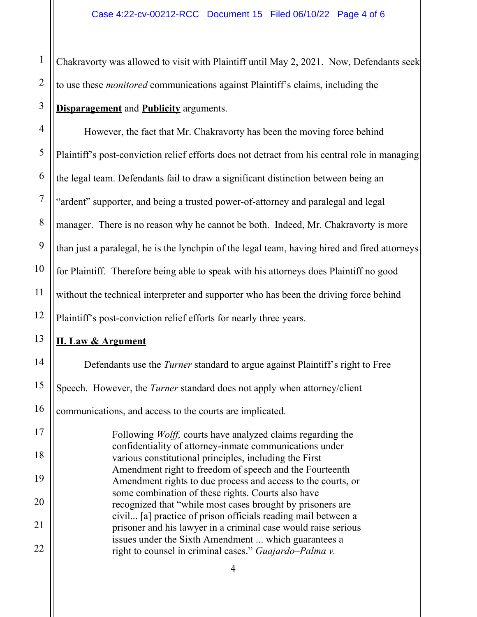Chakravorty was allowed to visit with Plaintiff until May 2, 2021. Now, Defendants seek to use these *monitored* communications against Plaintiff's claims, including the **Disparagement** and **Publicity** arguments.

However, the fact that Mr. Chakravorty has been the moving force behind Plaintiff's post-conviction relief efforts does not detract from his central role in managing the legal team. Defendants fail to draw a significant distinction between being an "ardent" supporter, and being a trusted power-of-attorney and paralegal and legal manager. There is no reason why he cannot be both. Indeed, Mr. Chakravorty is more than just a paralegal, he is the lynchpin of the legal team, having hired and fired attorneys for Plaintiff. Therefore being able to speak with his attorneys does Plaintiff no good without the technical interpreter and supporter who has been the driving force behind Plaintiff's post-conviction relief efforts for nearly three years.

## **II. Law & Argument**

Defendants use the *Turner* standard to argue against Plaintiff's right to Free Speech. However, the *Turner* standard does not apply when attorney/client communications, and access to the courts are implicated.

Following *Wolff,* courts have analyzed claims regarding the confidentiality of attorney-inmate communications under various constitutional principles, including the First Amendment right to freedom of speech and the Fourteenth Amendment rights to due process and access to the courts, or some combination of these rights. Courts also have recognized that "while most cases brought by prisoners are civil... [a] practice of prison officials reading mail between a prisoner and his lawyer in a criminal case would raise serious issues under the Sixth Amendment ... which guarantees a right to counsel in criminal cases." *Guajardo–Palma v.* 

21

22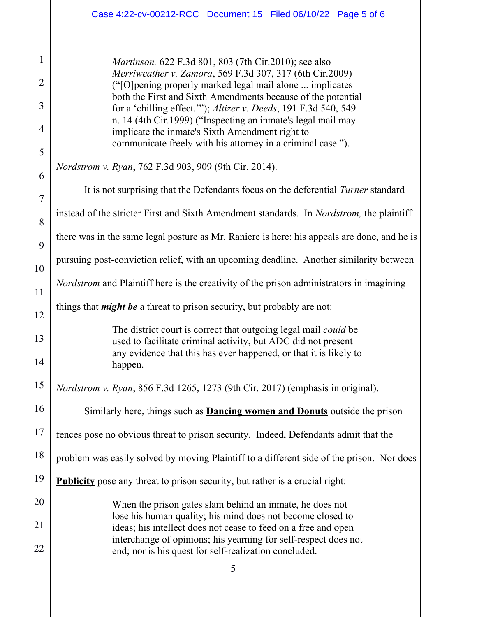|                | Case 4:22-cv-00212-RCC Document 15 Filed 06/10/22 Page 5 of 6                                                                                                                  |  |  |
|----------------|--------------------------------------------------------------------------------------------------------------------------------------------------------------------------------|--|--|
| 1              | <i>Martinson</i> , 622 F.3d 801, 803 (7th Cir.2010); see also                                                                                                                  |  |  |
| $\overline{2}$ | Merriweather v. Zamora, 569 F.3d 307, 317 (6th Cir.2009)<br>("[O] pening properly marked legal mail alone  implicates                                                          |  |  |
| 3              | both the First and Sixth Amendments because of the potential<br>for a 'chilling effect.'"); Altizer v. Deeds, 191 F.3d 540, 549                                                |  |  |
| 4              | n. 14 (4th Cir.1999) ("Inspecting an inmate's legal mail may<br>implicate the inmate's Sixth Amendment right to<br>communicate freely with his attorney in a criminal case."). |  |  |
| 5              | <i>Nordstrom v. Ryan, 762 F.3d 903, 909 (9th Cir. 2014).</i>                                                                                                                   |  |  |
| 6              |                                                                                                                                                                                |  |  |
| $\overline{7}$ | It is not surprising that the Defendants focus on the deferential Turner standard                                                                                              |  |  |
| 8              | instead of the stricter First and Sixth Amendment standards. In <i>Nordstrom</i> , the plaintiff                                                                               |  |  |
| 9              | there was in the same legal posture as Mr. Raniere is here: his appeals are done, and he is                                                                                    |  |  |
| 10             | pursuing post-conviction relief, with an upcoming deadline. Another similarity between                                                                                         |  |  |
| 11             | <i>Nordstrom</i> and Plaintiff here is the creativity of the prison administrators in imagining                                                                                |  |  |
| 12             | things that <i>might be</i> a threat to prison security, but probably are not:                                                                                                 |  |  |
| 13             | The district court is correct that outgoing legal mail <i>could</i> be<br>used to facilitate criminal activity, but ADC did not present                                        |  |  |
| 14             | any evidence that this has ever happened, or that it is likely to<br>happen.                                                                                                   |  |  |
| 15             | Nordstrom v. Ryan, 856 F.3d 1265, 1273 (9th Cir. 2017) (emphasis in original).                                                                                                 |  |  |
| 16             | Similarly here, things such as <b>Dancing women and Donuts</b> outside the prison                                                                                              |  |  |
| 17             | fences pose no obvious threat to prison security. Indeed, Defendants admit that the                                                                                            |  |  |
| 18             | problem was easily solved by moving Plaintiff to a different side of the prison. Nor does                                                                                      |  |  |
| 19             | <b>Publicity</b> pose any threat to prison security, but rather is a crucial right:                                                                                            |  |  |
| 20             | When the prison gates slam behind an inmate, he does not<br>lose his human quality; his mind does not become closed to                                                         |  |  |
| 21             | ideas; his intellect does not cease to feed on a free and open                                                                                                                 |  |  |
| 22             | interchange of opinions; his yearning for self-respect does not<br>end; nor is his quest for self-realization concluded.                                                       |  |  |
|                | 5                                                                                                                                                                              |  |  |